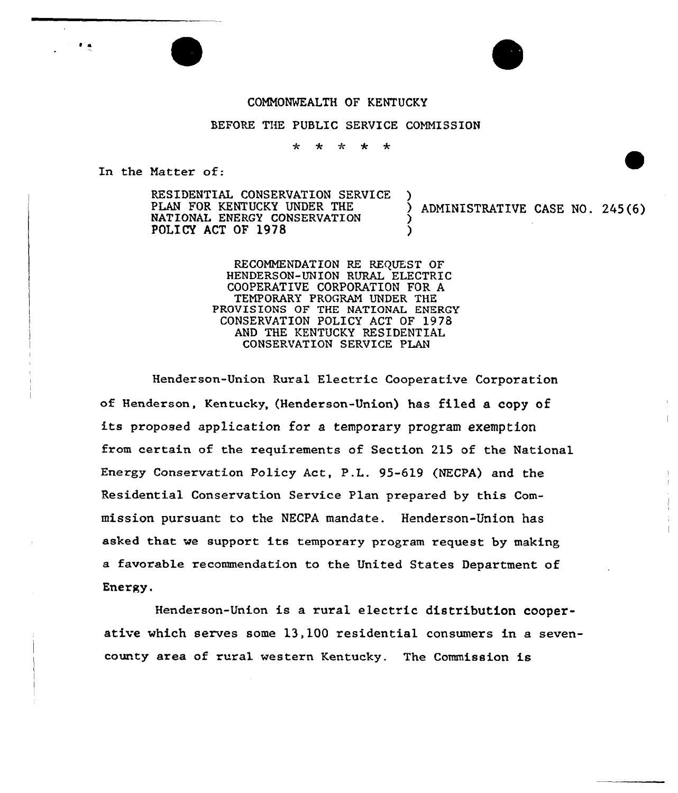## COMMONWEALTH OF KENTUCKY

## BEFORE THE PUBLIC SERVICE COMMISSION

 $\star$  $\ddot{\textbf{r}}$ ÷  $\ddot{\textbf{r}}$ 

In the Matter of:

RESIDENTIAL CONSERVATION SERVICE<br>PLAN FOR KENTUCKY UNDER THE NATIONAL ENERGY CONSERVATION POLICY ACT OF 1978

ADMINISTRATIVE CASE NO. 245(6)

RECOMMENDATION RE REQUEST OF HENDERSON-UNION RURAL ELECTRIC COOPERATIVE CORPORATION FOR A TEMPORARY PROGRAM UNDER THE PROVISIONS OF THE NATIONAL ENERGY CONSERVATION POLICY ACT OF 197S AND THE KENTUCKY RESIDENTIAL CONSERVATION SERVICE PLAN

Henderson-Union Rural Electric Cooperative Corporation of Henderson, Kentucky, (Henderson-Union) has filed a copy of its proposed application for a temporary program exemption from certain of the requirements of Section 215 of the National Energy Conservation Policy Act, P.L. 95-619 (NECPA) and the Residential Conservation Service Plan prepared by this Commission pursuant to the NECPA mandate. Henderson-Union has asked that we support its temporary program request by making a favorable recommendation to the United States Department of Energy.

Henderson-Union is a rural electric distribution cooperative which serves some 13,100 residential consumers in a sevencounty area of rural western Kentucky. The Commission is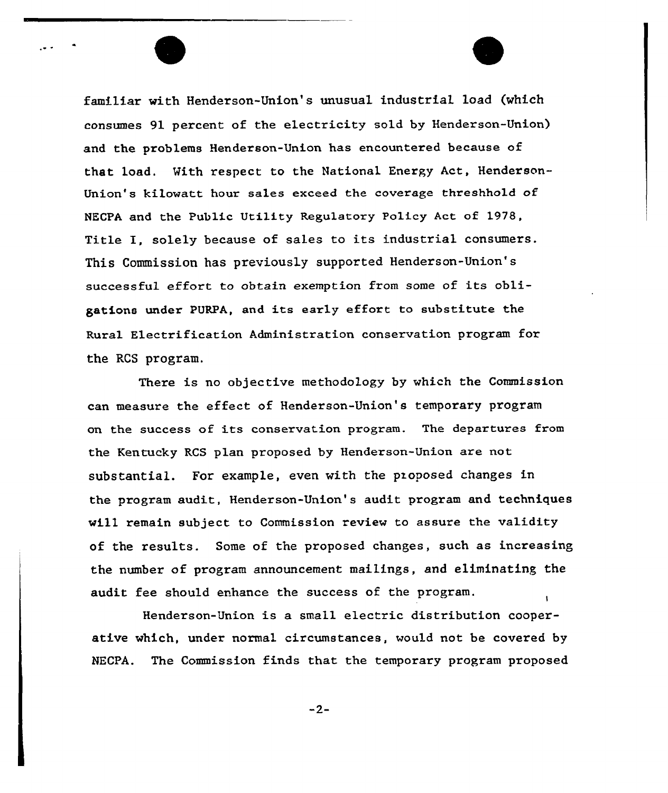familiar with Henderson-Union's unusual industrial load (which consumes 91 percent of the electricity sold by Henderson-Union) and the problems Henderson-Union has encountered because of that load. With respect to the National Energy Act, Henderson-Union's kilowatt hour sales exceed the coverage threshhold of NECPA and the Public Utility Regulatory Policy Act of 1978, Title I, solely because of sa1es to its industrial consumers. This Commission has previously supported Henderson-Union's successful effort to obtain exemption from some of its obligations under PURPA, and its early effort to substitute the Rural Electrification Administration conservation program for the RCS program.

There is no objective methodoLogy by which the Commission can measure the effect of Henderson-Union's temporary program on the success of its conservation program. The departures from the Kentucky RCS plan proposed by Henderson-Union are not substantial. For example, even with the pxoposed changes in the program audit, Henderson-Union's audit program and techniques will remain subject to Commission review to assure the validity of the results. Some of the proposed changes, such as increasing the number of progxam announcement mailings, and eliminating the audit fee should enhance the success of the program.

Henderson-Union is a small electric distribution cooperative which, under normal circumstances, would not be covered by NECPA. The Commission finds that the temporary program proposed

 $-2-$